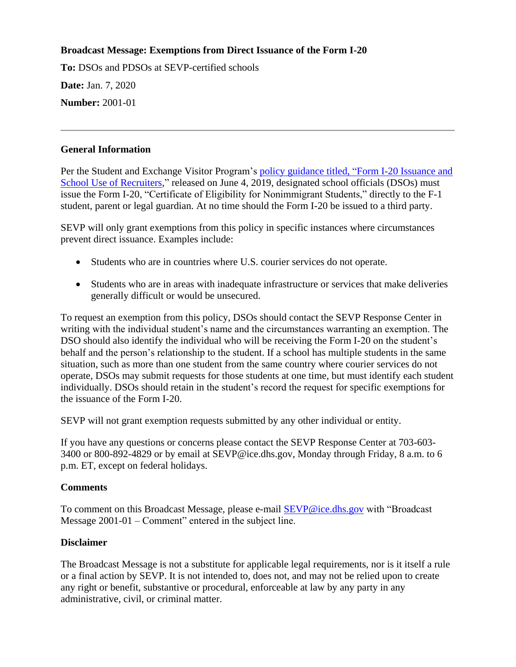## **Broadcast Message: Exemptions from Direct Issuance of the Form I-20**

**To:** DSOs and PDSOs at SEVP-certified schools **Date:** Jan. 7, 2020 **Number:** 2001-01

## **General Information**

Per the Student and Exchange Visitor Program's policy guidance titled, ["Form I-20 Issuance](https://www.ice.gov/sites/default/files/documents/Document/2019/Guidance-FormI-20.pdf) and [School Use of](https://www.ice.gov/sites/default/files/documents/Document/2019/Guidance-FormI-20.pdf) Recruiters," released on June 4, 2019, designated school officials (DSOs) must issue the Form I-20, "Certificate of Eligibility for Nonimmigrant Students," directly to the F-1 student, parent or legal guardian. At no time should the Form I-20 be issued to a third party.

SEVP will only grant exemptions from this policy in specific instances where circumstances prevent direct issuance. Examples include:

- Students who are in countries where U.S. courier services do not operate.
- Students who are in areas with inadequate infrastructure or services that make deliveries generally difficult or would be unsecured.

To request an exemption from this policy, DSOs should contact the SEVP Response Center in writing with the individual student's name and the circumstances warranting an exemption. The DSO should also identify the individual who will be receiving the Form I-20 on the student's behalf and the person's relationship to the student. If a school has multiple students in the same situation, such as more than one student from the same country where courier services do not operate, DSOs may submit requests for those students at one time, but must identify each student individually. DSOs should retain in the student's record the request for specific exemptions for the issuance of the Form I-20.

SEVP will not grant exemption requests submitted by any other individual or entity.

If you have any questions or concerns please contact the SEVP Response Center at 703-603- 3400 or 800-892-4829 or by email at SEVP@ice.dhs.gov, Monday through Friday, 8 a.m. to 6 p.m. ET, except on federal holidays.

## **Comments**

To comment on this Broadcast Message, please e-mail [SEVP@ice.dhs.gov](mailto:SEVP@ice.dhs.gov) with "Broadcast Message 2001-01 – Comment" entered in the subject line.

## **Disclaimer**

The Broadcast Message is not a substitute for applicable legal requirements, nor is it itself a rule or a final action by SEVP. It is not intended to, does not, and may not be relied upon to create any right or benefit, substantive or procedural, enforceable at law by any party in any administrative, civil, or criminal matter.